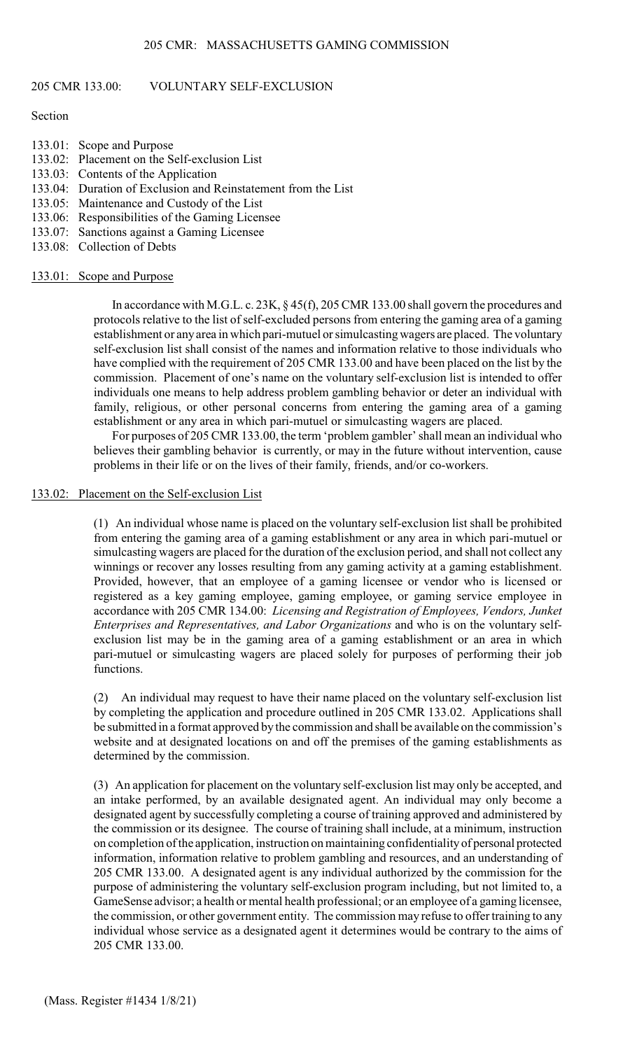#### 205 CMR 133.00: VOLUNTARY SELF-EXCLUSION

#### Section

- 133.01: Scope and Purpose
- 133.02: Placement on the Self-exclusion List
- 133.03: Contents of the Application
- 133.04: Duration of Exclusion and Reinstatement from the List
- 133.05: Maintenance and Custody of the List
- 133.06: Responsibilities of the Gaming Licensee
- 133.07: Sanctions against a Gaming Licensee
- 133.08: Collection of Debts

#### 133.01: Scope and Purpose

In accordance with M.G.L. c. 23K, § 45(f), 205 CMR 133.00 shall govern the procedures and protocols relative to the list of self-excluded persons from entering the gaming area of a gaming establishment or any area in which pari-mutuel or simulcasting wagers are placed. The voluntary self-exclusion list shall consist of the names and information relative to those individuals who have complied with the requirement of 205 CMR 133.00 and have been placed on the list by the commission. Placement of one's name on the voluntary self-exclusion list is intended to offer individuals one means to help address problem gambling behavior or deter an individual with family, religious, or other personal concerns from entering the gaming area of a gaming establishment or any area in which pari-mutuel or simulcasting wagers are placed.

For purposes of 205 CMR 133.00, the term 'problem gambler' shall mean an individual who believes their gambling behavior is currently, or may in the future without intervention, cause problems in their life or on the lives of their family, friends, and/or co-workers.

#### 133.02: Placement on the Self-exclusion List

(1) An individual whose name is placed on the voluntary self-exclusion list shall be prohibited from entering the gaming area of a gaming establishment or any area in which pari-mutuel or simulcasting wagers are placed for the duration of the exclusion period, and shall not collect any winnings or recover any losses resulting from any gaming activity at a gaming establishment. Provided, however, that an employee of a gaming licensee or vendor who is licensed or registered as a key gaming employee, gaming employee, or gaming service employee in accordance with 205 CMR 134.00: *Licensing and Registration of Employees, Vendors, Junket Enterprises and Representatives, and Labor Organizations* and who is on the voluntary selfexclusion list may be in the gaming area of a gaming establishment or an area in which pari-mutuel or simulcasting wagers are placed solely for purposes of performing their job functions.

(2) An individual may request to have their name placed on the voluntary self-exclusion list by completing the application and procedure outlined in 205 CMR 133.02. Applications shall be submitted in a format approved by the commission and shall be available on the commission's website and at designated locations on and off the premises of the gaming establishments as determined by the commission.

(3) An application for placement on the voluntary self-exclusion list may only be accepted, and an intake performed, by an available designated agent. An individual may only become a designated agent by successfully completing a course of training approved and administered by the commission or its designee. The course of training shall include, at a minimum, instruction on completion of the application, instruction on maintaining confidentiality of personal protected information, information relative to problem gambling and resources, and an understanding of 205 CMR 133.00. A designated agent is any individual authorized by the commission for the purpose of administering the voluntary self-exclusion program including, but not limited to, a GameSense advisor; a health or mental health professional; or an employee of a gaming licensee, the commission, or other government entity. The commission may refuse to offer training to any individual whose service as a designated agent it determines would be contrary to the aims of 205 CMR 133.00.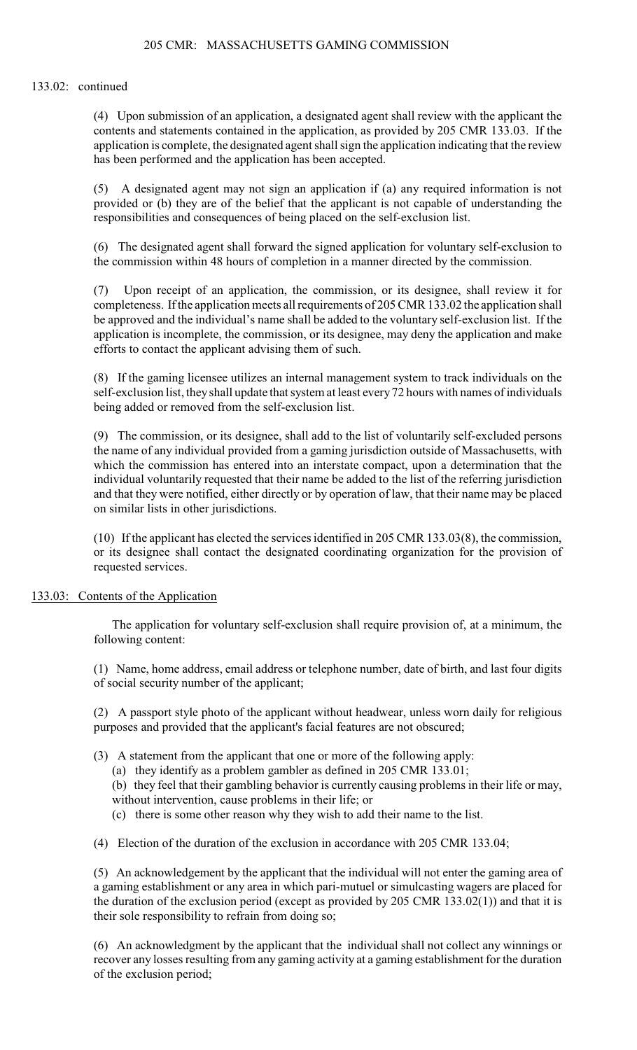# 133.02: continued

(4) Upon submission of an application, a designated agent shall review with the applicant the contents and statements contained in the application, as provided by 205 CMR 133.03. If the application is complete, the designated agent shall sign the application indicating that the review has been performed and the application has been accepted.

(5) A designated agent may not sign an application if (a) any required information is not provided or (b) they are of the belief that the applicant is not capable of understanding the responsibilities and consequences of being placed on the self-exclusion list.

(6) The designated agent shall forward the signed application for voluntary self-exclusion to the commission within 48 hours of completion in a manner directed by the commission.

(7) Upon receipt of an application, the commission, or its designee, shall review it for completeness. If the application meets all requirements of 205 CMR 133.02 the application shall be approved and the individual's name shall be added to the voluntary self-exclusion list. If the application is incomplete, the commission, or its designee, may deny the application and make efforts to contact the applicant advising them of such.

(8) If the gaming licensee utilizes an internal management system to track individuals on the self-exclusion list, theyshall update that system at least every 72 hours with names of individuals being added or removed from the self-exclusion list.

(9) The commission, or its designee, shall add to the list of voluntarily self-excluded persons the name of any individual provided from a gaming jurisdiction outside of Massachusetts, with which the commission has entered into an interstate compact, upon a determination that the individual voluntarily requested that their name be added to the list of the referring jurisdiction and that they were notified, either directly or by operation of law, that their name may be placed on similar lists in other jurisdictions.

(10) If the applicant has elected the services identified in 205 CMR 133.03(8), the commission, or its designee shall contact the designated coordinating organization for the provision of requested services.

# 133.03: Contents of the Application

The application for voluntary self-exclusion shall require provision of, at a minimum, the following content:

(1) Name, home address, email address or telephone number, date of birth, and last four digits of social security number of the applicant;

(2) A passport style photo of the applicant without headwear, unless worn daily for religious purposes and provided that the applicant's facial features are not obscured;

- (3) A statement from the applicant that one or more of the following apply:
	- (a) they identify as a problem gambler as defined in 205 CMR 133.01;

(b) they feel that their gambling behavior is currently causing problems in their life or may, without intervention, cause problems in their life; or

(c) there is some other reason why they wish to add their name to the list.

(4) Election of the duration of the exclusion in accordance with 205 CMR 133.04;

(5) An acknowledgement by the applicant that the individual will not enter the gaming area of a gaming establishment or any area in which pari-mutuel or simulcasting wagers are placed for the duration of the exclusion period (except as provided by 205 CMR 133.02(1)) and that it is their sole responsibility to refrain from doing so;

(6) An acknowledgment by the applicant that the individual shall not collect any winnings or recover any losses resulting from any gaming activity at a gaming establishment for the duration of the exclusion period;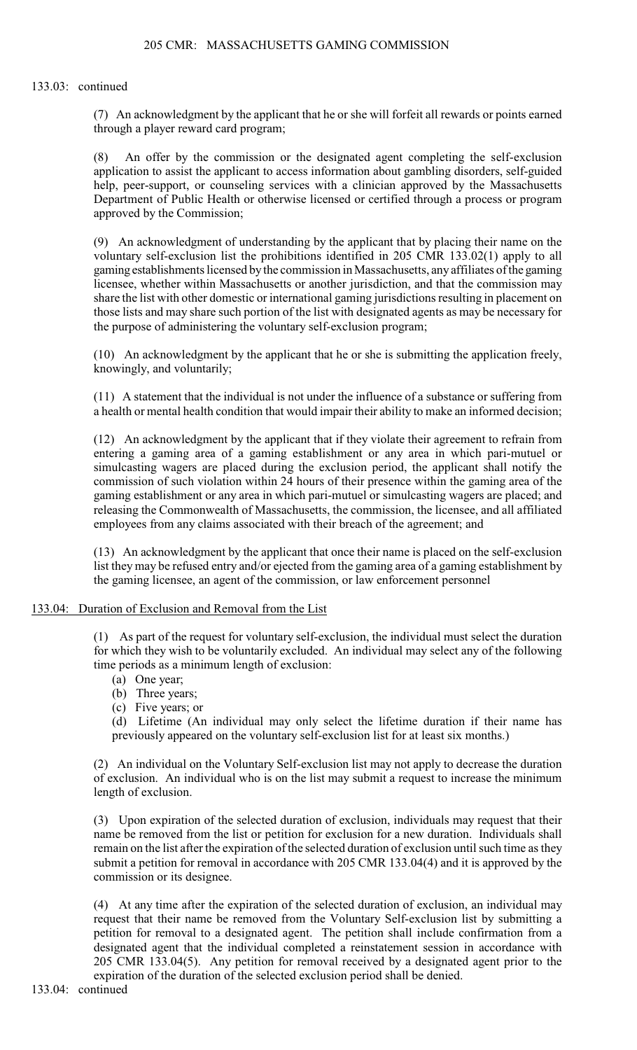#### 133.03: continued

(7) An acknowledgment by the applicant that he or she will forfeit all rewards or points earned through a player reward card program;

(8) An offer by the commission or the designated agent completing the self-exclusion application to assist the applicant to access information about gambling disorders, self-guided help, peer-support, or counseling services with a clinician approved by the Massachusetts Department of Public Health or otherwise licensed or certified through a process or program approved by the Commission;

(9) An acknowledgment of understanding by the applicant that by placing their name on the voluntary self-exclusion list the prohibitions identified in 205 CMR 133.02(1) apply to all gaming establishments licensed by the commission in Massachusetts, any affiliates of the gaming licensee, whether within Massachusetts or another jurisdiction, and that the commission may share the list with other domestic or international gaming jurisdictions resulting in placement on those lists and may share such portion of the list with designated agents as may be necessary for the purpose of administering the voluntary self-exclusion program;

(10) An acknowledgment by the applicant that he or she is submitting the application freely, knowingly, and voluntarily;

(11) A statement that the individual is not under the influence of a substance or suffering from a health or mental health condition that would impair their ability to make an informed decision;

(12) An acknowledgment by the applicant that if they violate their agreement to refrain from entering a gaming area of a gaming establishment or any area in which pari-mutuel or simulcasting wagers are placed during the exclusion period, the applicant shall notify the commission of such violation within 24 hours of their presence within the gaming area of the gaming establishment or any area in which pari-mutuel or simulcasting wagers are placed; and releasing the Commonwealth of Massachusetts, the commission, the licensee, and all affiliated employees from any claims associated with their breach of the agreement; and

(13) An acknowledgment by the applicant that once their name is placed on the self-exclusion list they may be refused entry and/or ejected from the gaming area of a gaming establishment by the gaming licensee, an agent of the commission, or law enforcement personnel

#### 133.04: Duration of Exclusion and Removal from the List

(1) As part of the request for voluntary self-exclusion, the individual must select the duration for which they wish to be voluntarily excluded. An individual may select any of the following time periods as a minimum length of exclusion:

- (a) One year;
- (b) Three years;
- (c) Five years; or

(d) Lifetime (An individual may only select the lifetime duration if their name has previously appeared on the voluntary self-exclusion list for at least six months.)

(2) An individual on the Voluntary Self-exclusion list may not apply to decrease the duration of exclusion. An individual who is on the list may submit a request to increase the minimum length of exclusion.

(3) Upon expiration of the selected duration of exclusion, individuals may request that their name be removed from the list or petition for exclusion for a new duration. Individuals shall remain on the list after the expiration of the selected duration of exclusion until such time as they submit a petition for removal in accordance with 205 CMR 133.04(4) and it is approved by the commission or its designee.

(4) At any time after the expiration of the selected duration of exclusion, an individual may request that their name be removed from the Voluntary Self-exclusion list by submitting a petition for removal to a designated agent. The petition shall include confirmation from a designated agent that the individual completed a reinstatement session in accordance with 205 CMR 133.04(5). Any petition for removal received by a designated agent prior to the expiration of the duration of the selected exclusion period shall be denied.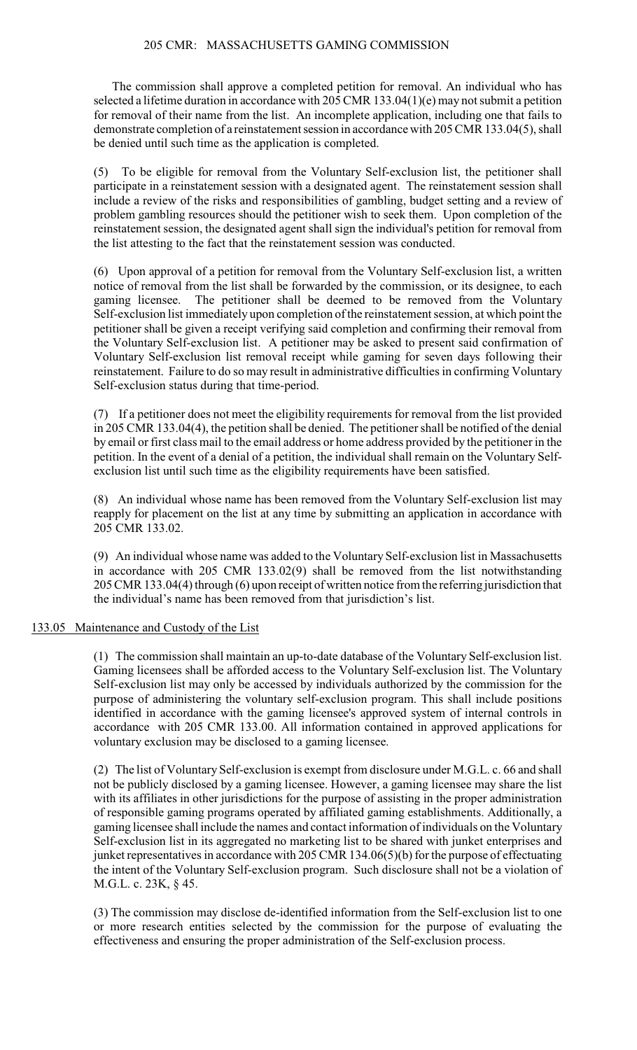# 205 CMR: MASSACHUSETTS GAMING COMMISSION

The commission shall approve a completed petition for removal. An individual who has selected a lifetime duration in accordance with 205 CMR 133.04(1)(e) may not submit a petition for removal of their name from the list. An incomplete application, including one that fails to demonstrate completion of a reinstatement session in accordance with 205 CMR 133.04(5), shall be denied until such time as the application is completed.

(5) To be eligible for removal from the Voluntary Self-exclusion list, the petitioner shall participate in a reinstatement session with a designated agent. The reinstatement session shall include a review of the risks and responsibilities of gambling, budget setting and a review of problem gambling resources should the petitioner wish to seek them. Upon completion of the reinstatement session, the designated agent shall sign the individual's petition for removal from the list attesting to the fact that the reinstatement session was conducted.

(6) Upon approval of a petition for removal from the Voluntary Self-exclusion list, a written notice of removal from the list shall be forwarded by the commission, or its designee, to each gaming licensee. The petitioner shall be deemed to be removed from the Voluntary Self-exclusion list immediately upon completion of the reinstatement session, at which point the petitioner shall be given a receipt verifying said completion and confirming their removal from the Voluntary Self-exclusion list. A petitioner may be asked to present said confirmation of Voluntary Self-exclusion list removal receipt while gaming for seven days following their reinstatement. Failure to do so may result in administrative difficulties in confirming Voluntary Self-exclusion status during that time-period.

(7) If a petitioner does not meet the eligibility requirements for removal from the list provided in 205 CMR 133.04(4), the petition shall be denied. The petitioner shall be notified of the denial by email or first class mail to the email address or home address provided by the petitioner in the petition. In the event of a denial of a petition, the individual shall remain on the Voluntary Selfexclusion list until such time as the eligibility requirements have been satisfied.

(8) An individual whose name has been removed from the Voluntary Self-exclusion list may reapply for placement on the list at any time by submitting an application in accordance with 205 CMR 133.02.

(9) An individual whose name was added to the Voluntary Self-exclusion list in Massachusetts in accordance with 205 CMR 133.02(9) shall be removed from the list notwithstanding 205 CMR 133.04(4) through (6) upon receipt of written notice from the referring jurisdiction that the individual's name has been removed from that jurisdiction's list.

#### 133.05 Maintenance and Custody of the List

(1) The commission shall maintain an up-to-date database of the Voluntary Self-exclusion list. Gaming licensees shall be afforded access to the Voluntary Self-exclusion list. The Voluntary Self-exclusion list may only be accessed by individuals authorized by the commission for the purpose of administering the voluntary self-exclusion program. This shall include positions identified in accordance with the gaming licensee's approved system of internal controls in accordance with 205 CMR 133.00. All information contained in approved applications for voluntary exclusion may be disclosed to a gaming licensee.

(2) The list of Voluntary Self-exclusion is exempt from disclosure under M.G.L. c. 66 and shall not be publicly disclosed by a gaming licensee. However, a gaming licensee may share the list with its affiliates in other jurisdictions for the purpose of assisting in the proper administration of responsible gaming programs operated by affiliated gaming establishments. Additionally, a gaming licensee shall include the names and contact information of individuals on the Voluntary Self-exclusion list in its aggregated no marketing list to be shared with junket enterprises and junket representatives in accordance with 205 CMR 134.06(5)(b) for the purpose of effectuating the intent of the Voluntary Self-exclusion program. Such disclosure shall not be a violation of M.G.L. c. 23K, § 45.

(3) The commission may disclose de-identified information from the Self-exclusion list to one or more research entities selected by the commission for the purpose of evaluating the effectiveness and ensuring the proper administration of the Self-exclusion process.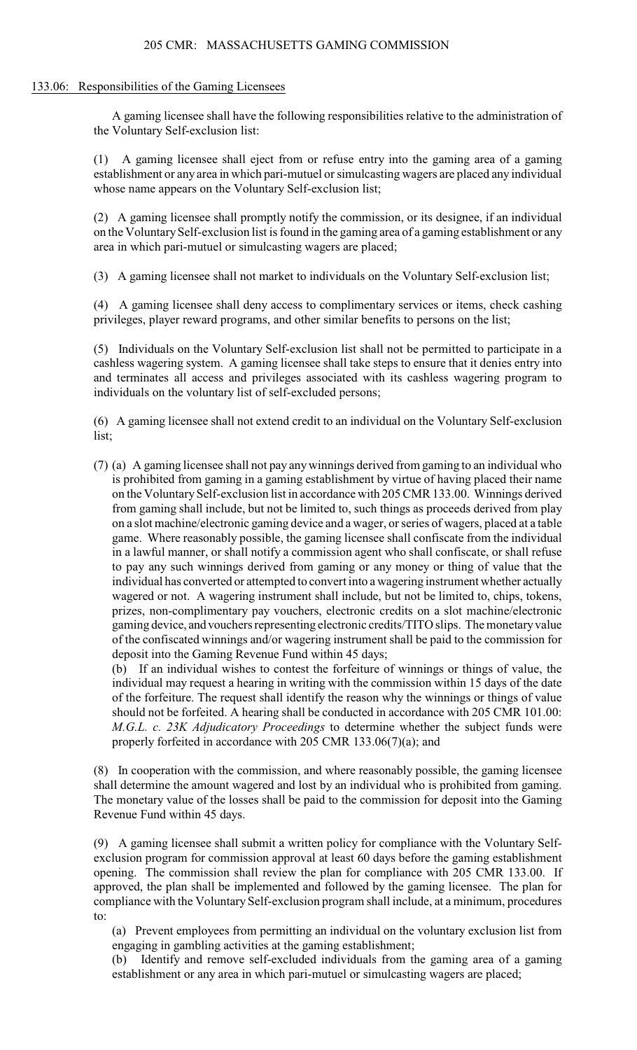# 205 CMR: MASSACHUSETTS GAMING COMMISSION

# 133.06: Responsibilities of the Gaming Licensees

A gaming licensee shall have the following responsibilities relative to the administration of the Voluntary Self-exclusion list:

(1) A gaming licensee shall eject from or refuse entry into the gaming area of a gaming establishment or any area in which pari-mutuel or simulcasting wagers are placed any individual whose name appears on the Voluntary Self-exclusion list;

(2) A gaming licensee shall promptly notify the commission, or its designee, if an individual on the Voluntary Self-exclusion list is found in the gaming area of a gaming establishment or any area in which pari-mutuel or simulcasting wagers are placed;

(3) A gaming licensee shall not market to individuals on the Voluntary Self-exclusion list;

(4) A gaming licensee shall deny access to complimentary services or items, check cashing privileges, player reward programs, and other similar benefits to persons on the list;

(5) Individuals on the Voluntary Self-exclusion list shall not be permitted to participate in a cashless wagering system. A gaming licensee shall take steps to ensure that it denies entry into and terminates all access and privileges associated with its cashless wagering program to individuals on the voluntary list of self-excluded persons;

(6) A gaming licensee shall not extend credit to an individual on the Voluntary Self-exclusion list;

(7) (a) A gaming licensee shall not pay anywinnings derived from gaming to an individual who is prohibited from gaming in a gaming establishment by virtue of having placed their name on the Voluntary Self-exclusion list in accordance with 205 CMR 133.00. Winnings derived from gaming shall include, but not be limited to, such things as proceeds derived from play on a slot machine/electronic gaming device and a wager, or series of wagers, placed at a table game. Where reasonably possible, the gaming licensee shall confiscate from the individual in a lawful manner, or shall notify a commission agent who shall confiscate, or shall refuse to pay any such winnings derived from gaming or any money or thing of value that the individual has converted or attempted to convert into a wagering instrument whether actually wagered or not. A wagering instrument shall include, but not be limited to, chips, tokens, prizes, non-complimentary pay vouchers, electronic credits on a slot machine/electronic gaming device, and vouchers representing electronic credits/TITO slips. The monetary value of the confiscated winnings and/or wagering instrument shall be paid to the commission for deposit into the Gaming Revenue Fund within 45 days;

(b) If an individual wishes to contest the forfeiture of winnings or things of value, the individual may request a hearing in writing with the commission within 15 days of the date of the forfeiture. The request shall identify the reason why the winnings or things of value should not be forfeited. A hearing shall be conducted in accordance with 205 CMR 101.00: *M.G.L. c. 23K Adjudicatory Proceedings* to determine whether the subject funds were properly forfeited in accordance with 205 CMR 133.06(7)(a); and

(8) In cooperation with the commission, and where reasonably possible, the gaming licensee shall determine the amount wagered and lost by an individual who is prohibited from gaming. The monetary value of the losses shall be paid to the commission for deposit into the Gaming Revenue Fund within 45 days.

(9) A gaming licensee shall submit a written policy for compliance with the Voluntary Selfexclusion program for commission approval at least 60 days before the gaming establishment opening. The commission shall review the plan for compliance with 205 CMR 133.00. If approved, the plan shall be implemented and followed by the gaming licensee. The plan for compliance with the Voluntary Self-exclusion program shall include, at a minimum, procedures to:

(a) Prevent employees from permitting an individual on the voluntary exclusion list from engaging in gambling activities at the gaming establishment;

(b) Identify and remove self-excluded individuals from the gaming area of a gaming establishment or any area in which pari-mutuel or simulcasting wagers are placed;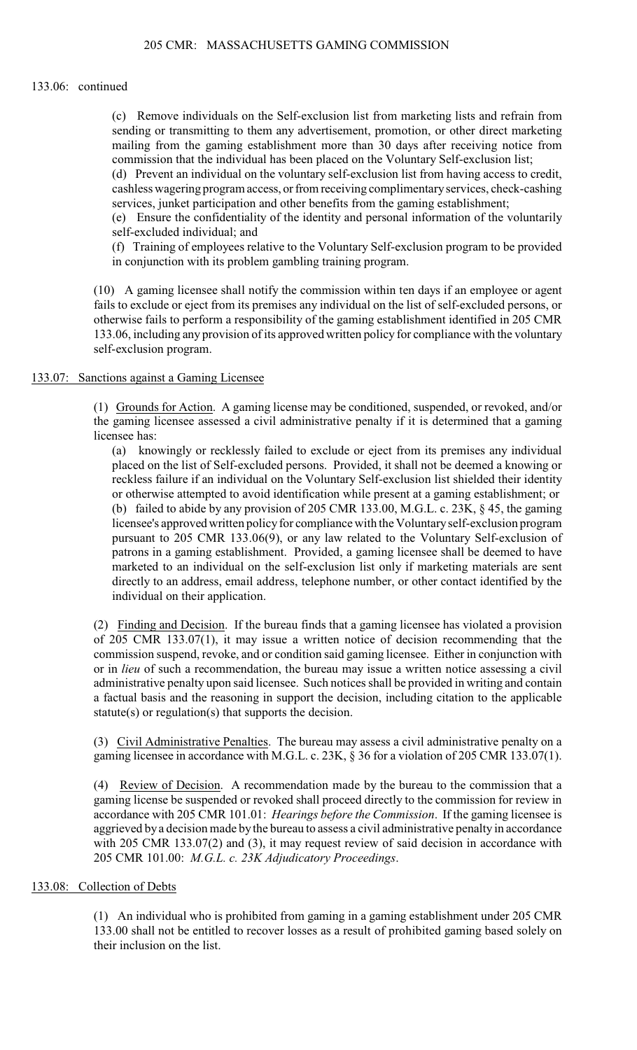#### 133.06: continued

(c) Remove individuals on the Self-exclusion list from marketing lists and refrain from sending or transmitting to them any advertisement, promotion, or other direct marketing mailing from the gaming establishment more than 30 days after receiving notice from commission that the individual has been placed on the Voluntary Self-exclusion list;

(d) Prevent an individual on the voluntary self-exclusion list from having access to credit, cashless wagering program access, or from receiving complimentary services, check-cashing services, junket participation and other benefits from the gaming establishment;

(e) Ensure the confidentiality of the identity and personal information of the voluntarily self-excluded individual; and

(f) Training of employees relative to the Voluntary Self-exclusion program to be provided in conjunction with its problem gambling training program.

(10) A gaming licensee shall notify the commission within ten days if an employee or agent fails to exclude or eject from its premises any individual on the list of self-excluded persons, or otherwise fails to perform a responsibility of the gaming establishment identified in 205 CMR 133.06, including any provision of its approved written policy for compliance with the voluntary self-exclusion program.

# 133.07: Sanctions against a Gaming Licensee

(1) Grounds for Action. A gaming license may be conditioned, suspended, or revoked, and/or the gaming licensee assessed a civil administrative penalty if it is determined that a gaming licensee has:

(a) knowingly or recklessly failed to exclude or eject from its premises any individual placed on the list of Self-excluded persons. Provided, it shall not be deemed a knowing or reckless failure if an individual on the Voluntary Self-exclusion list shielded their identity or otherwise attempted to avoid identification while present at a gaming establishment; or (b) failed to abide by any provision of 205 CMR 133.00, M.G.L. c. 23K, § 45, the gaming licensee's approved written policy for compliance with the Voluntary self-exclusion program pursuant to 205 CMR 133.06(9), or any law related to the Voluntary Self-exclusion of patrons in a gaming establishment. Provided, a gaming licensee shall be deemed to have marketed to an individual on the self-exclusion list only if marketing materials are sent directly to an address, email address, telephone number, or other contact identified by the individual on their application.

(2) Finding and Decision. If the bureau finds that a gaming licensee has violated a provision of 205 CMR 133.07(1), it may issue a written notice of decision recommending that the commission suspend, revoke, and or condition said gaming licensee. Either in conjunction with or in *lieu* of such a recommendation, the bureau may issue a written notice assessing a civil administrative penalty upon said licensee. Such notices shall be provided in writing and contain a factual basis and the reasoning in support the decision, including citation to the applicable statute(s) or regulation(s) that supports the decision.

(3) Civil Administrative Penalties. The bureau may assess a civil administrative penalty on a gaming licensee in accordance with M.G.L. c. 23K, § 36 for a violation of 205 CMR 133.07(1).

(4) Review of Decision. A recommendation made by the bureau to the commission that a gaming license be suspended or revoked shall proceed directly to the commission for review in accordance with 205 CMR 101.01: *Hearings before the Commission*. If the gaming licensee is aggrieved by a decision made by the bureau to assess a civil administrative penalty in accordance with 205 CMR 133.07(2) and (3), it may request review of said decision in accordance with 205 CMR 101.00: *M.G.L. c. 23K Adjudicatory Proceedings*.

#### 133.08: Collection of Debts

(1) An individual who is prohibited from gaming in a gaming establishment under 205 CMR 133.00 shall not be entitled to recover losses as a result of prohibited gaming based solely on their inclusion on the list.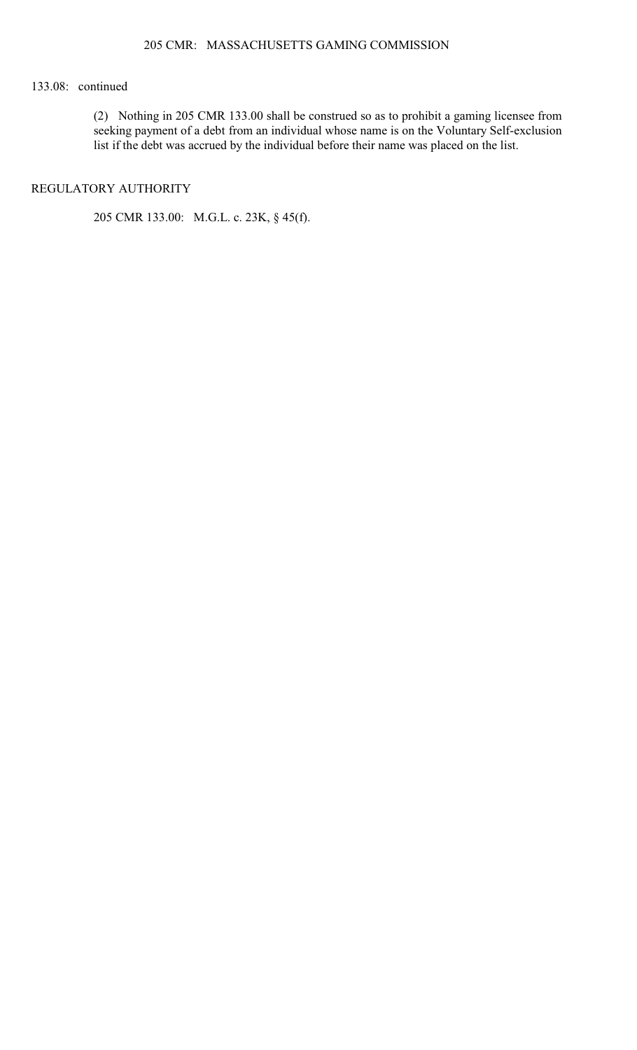# 133.08: continued

(2) Nothing in 205 CMR 133.00 shall be construed so as to prohibit a gaming licensee from seeking payment of a debt from an individual whose name is on the Voluntary Self-exclusion list if the debt was accrued by the individual before their name was placed on the list.

# REGULATORY AUTHORITY

205 CMR 133.00: M.G.L. c. 23K, § 45(f).